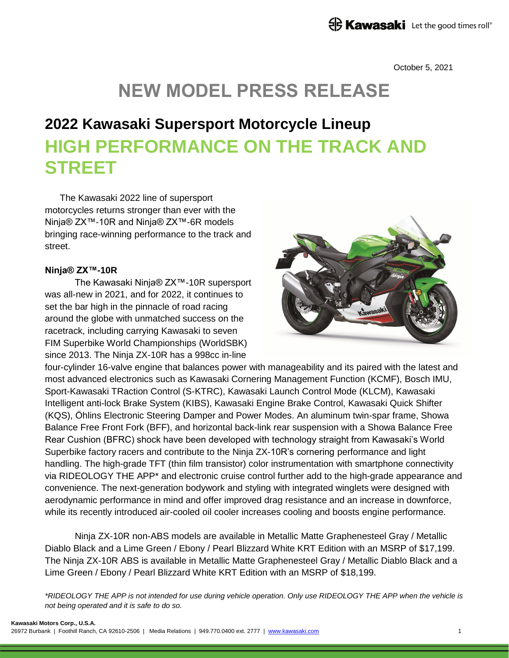October 5, 2021

# **NEW MODEL PRESS RELEASE**

# **2022 Kawasaki Supersport Motorcycle Lineup HIGH PERFORMANCE ON THE TRACK AND STREET**

The Kawasaki 2022 line of supersport motorcycles returns stronger than ever with the Ninja® ZX™-10R and Ninja® ZX™-6R models bringing race-winning performance to the track and street.

### **Ninja® ZX™-10R**

The Kawasaki Ninja® ZX™-10R supersport was all-new in 2021, and for 2022, it continues to set the bar high in the pinnacle of road racing around the globe with unmatched success on the racetrack, including carrying Kawasaki to seven FIM Superbike World Championships (WorldSBK) since 2013. The Ninja ZX-10R has a 998cc in-line



four-cylinder 16-valve engine that balances power with manageability and its paired with the latest and most advanced electronics such as Kawasaki Cornering Management Function (KCMF), Bosch IMU, Sport-Kawasaki TRaction Control (S-KTRC), Kawasaki Launch Control Mode (KLCM), Kawasaki Intelligent anti-lock Brake System (KIBS), Kawasaki Engine Brake Control, Kawasaki Quick Shifter (KQS), Öhlins Electronic Steering Damper and Power Modes. An aluminum twin-spar frame, Showa Balance Free Front Fork (BFF), and horizontal back-link rear suspension with a Showa Balance Free Rear Cushion (BFRC) shock have been developed with technology straight from Kawasaki's World Superbike factory racers and contribute to the Ninja ZX-10R's cornering performance and light handling. The high-grade TFT (thin film transistor) color instrumentation with smartphone connectivity via RIDEOLOGY THE APP\* and electronic cruise control further add to the high-grade appearance and convenience. The next-generation bodywork and styling with integrated winglets were designed with aerodynamic performance in mind and offer improved drag resistance and an increase in downforce, while its recently introduced air-cooled oil cooler increases cooling and boosts engine performance.

Ninja ZX-10R non-ABS models are available in Metallic Matte Graphenesteel Gray / Metallic Diablo Black and a Lime Green / Ebony / Pearl Blizzard White KRT Edition with an MSRP of \$17,199. The Ninja ZX-10R ABS is available in Metallic Matte Graphenesteel Gray / Metallic Diablo Black and a Lime Green / Ebony / Pearl Blizzard White KRT Edition with an MSRP of \$18,199.

*\*RIDEOLOGY THE APP is not intended for use during vehicle operation. Only use RIDEOLOGY THE APP when the vehicle is not being operated and it is safe to do so.*